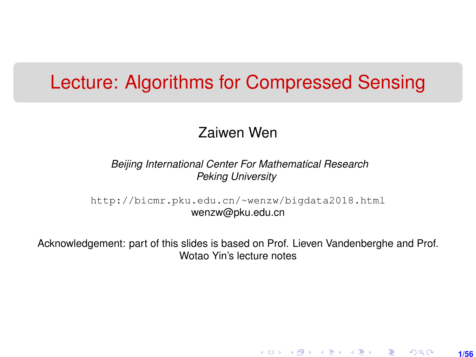# <span id="page-0-0"></span>Lecture: Algorithms for Compressed Sensing

#### Zaiwen Wen

#### *Beijing International Center For Mathematical Research Peking University*

[http://bicmr.pku.edu.cn/~wenzw/bigdata2018.html](http://bicmr.pku.edu.cn/~wenzw/bigdata2018.html ) wenzw@pku.edu.cn

Acknowledgement: part of this slides is based on Prof. Lieven Vandenberghe and Prof. Wotao Yin's lecture notes

**1/56**

K ロ ▶ K 레 ▶ K 회 ▶ K 회 ▶ │ 회 │ ⊙ Q Q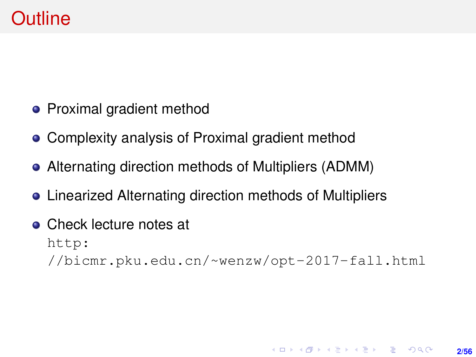- Proximal gradient method
- Complexity analysis of Proximal gradient method
- Alternating direction methods of Multipliers (ADMM)
- Linearized Alternating direction methods of Multipliers
- **Check lecture notes at** [http:](http://bicmr.pku.edu.cn/~wenzw/opt-2017-fall.html) [//bicmr.pku.edu.cn/~wenzw/opt-2017-fall.html](http://bicmr.pku.edu.cn/~wenzw/opt-2017-fall.html)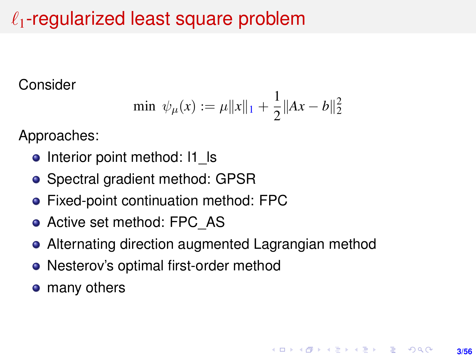# <span id="page-2-0"></span> $\ell_1$ -regularized least square problem

Consider

$$
\min \ \psi_{\mu}(x) := \mu \|x\|_1 + \frac{1}{2} \|Ax - b\|_2^2
$$

Approaches:

- Interior point method: I1 Is
- Spectral gradient method: GPSR
- Fixed-point continuation method: FPC
- Active set method: FPC AS
- Alternating direction augmented Lagrangian method
- Nesterov's optimal first-order method
- many others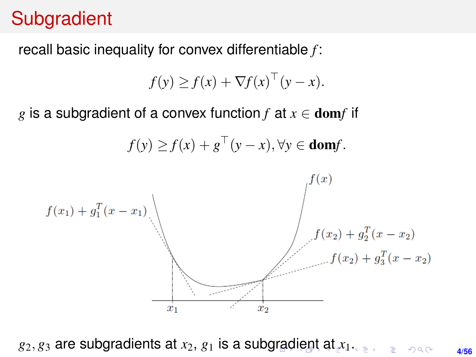# <span id="page-3-0"></span>**Subgradient**

recall basic inequality for convex differentiable *f* :

$$
f(y) \ge f(x) + \nabla f(x)^\top (y - x).
$$

*g* is a subgradient of a convex function *f* at *x* ∈ dom*f* if



**4/56**  $g_2, g_3$  are su[bgr](#page-2-0)[ad](#page-4-0)[i](#page-2-0)[en](#page-3-0)[t](#page-4-0)s [at](#page-0-0)  $x_2, g_1$  $x_2, g_1$  $x_2, g_1$  is a subgradient at  $x_1 \rightarrow x_2 \rightarrow y_3$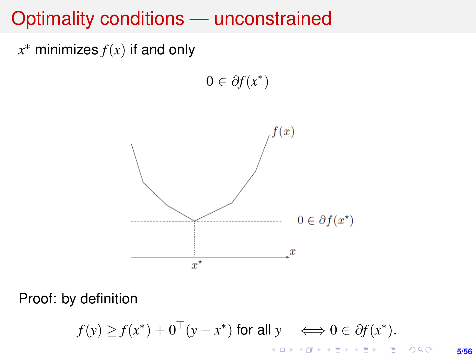### <span id="page-4-0"></span>Optimality conditions — unconstrained

*x* <sup>∗</sup> minimizes *f*(*x*) if and only

 $0 \in \partial f(x^*)$ 



Proof: by definition

 $f(y) \ge f(x^*) + 0^\top (y - x^*)$  for all  $y \iff 0 \in \partial f(x^*)$ . KO KKO KARA VE KARA

**5/56**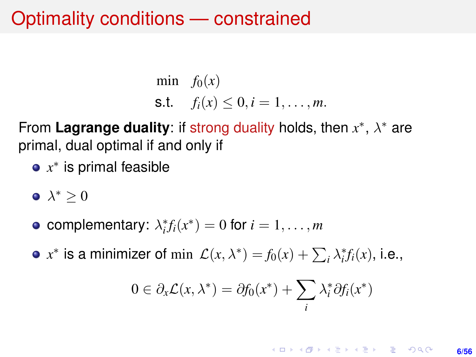## Optimality conditions — constrained

min 
$$
f_0(x)
$$
  
\n**s.t.**  $f_i(x) \le 0, i = 1,..., m$ .

From **Lagrange duality**: if strong duality holds, then x<sup>\*</sup>,  $\lambda$ <sup>\*</sup> are primal, dual optimal if and only if

- *x* ∗ is primal feasible
- $\lambda^* \geq 0$
- complementary:  $\lambda_i^* f_i(x^*) = 0$  for  $i = 1, \ldots, m$
- $x^*$  is a minimizer of min  $\mathcal{L}(x, \lambda^*) = f_0(x) + \sum_i \lambda_i^* f_i(x)$ , i.e.,

$$
0 \in \partial_x \mathcal{L}(x, \lambda^*) = \partial f_0(x^*) + \sum_i \lambda_i^* \partial f_i(x^*)
$$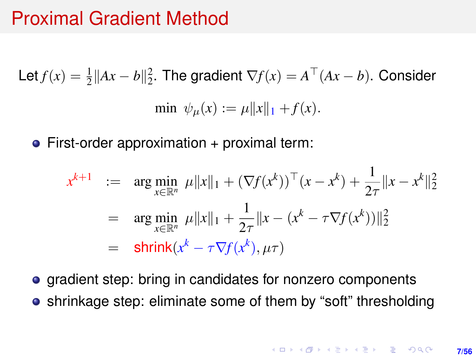#### Proximal Gradient Method

Let  $f(x) = \frac{1}{2} ||Ax - b||_2^2$ . The gradient  $\nabla f(x) = A^{\top} (Ax - b)$ . Consider min  $\psi_{\mu}(x) := \mu \|x\|_{1} + f(x)$ .

• First-order approximation + proximal term:

$$
x^{k+1} := \arg \min_{x \in \mathbb{R}^n} \mu \|x\|_1 + (\nabla f(x^k))^{\top} (x - x^k) + \frac{1}{2\tau} \|x - x^k\|_2^2
$$
  
= 
$$
\arg \min_{x \in \mathbb{R}^n} \mu \|x\|_1 + \frac{1}{2\tau} \|x - (x^k - \tau \nabla f(x^k))\|_2^2
$$
  
= 
$$
\text{shrink}(x^k - \tau \nabla f(x^k), \mu \tau)
$$

**•** gradient step: bring in candidates for nonzero components

**•** shrinkage step: eliminate some of them by "soft" thresholding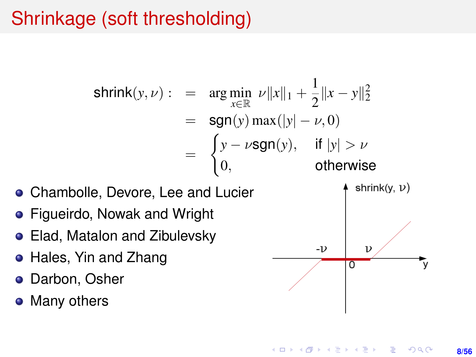# <span id="page-7-0"></span>Shrinkage (soft thresholding)

shrink(y, v) : = arg min\_{x \in \mathbb{R}} v ||x||\_1 + \frac{1}{2} ||x - y||\_2^2  
= sgn(y) max(|y| - \nu, 0)  
= 
$$
\begin{cases} y - \nu sgn(y), & \text{if } |y| > \nu \\ 0, & \text{otherwise} \end{cases}
$$

- Chambolle, Devore, Lee and Lucier
- **•** Figueirdo, Nowak and Wright
- Elad, Matalon and Zibulevsky
- Hales, Yin and Zhang
- **Darbon, Osher**
- Many others



KORK (FIRKER EN DE ROACH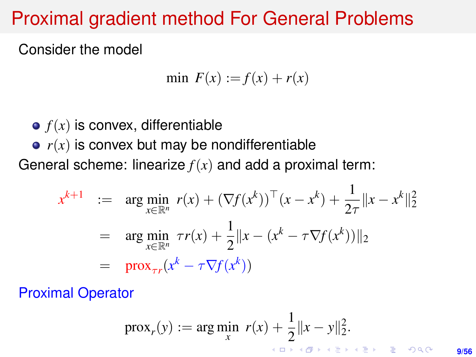# Proximal gradient method For General Problems

Consider the model

$$
\min \ F(x) := f(x) + r(x)
$$

 $\bullet$   $f(x)$  is convex, differentiable  $\bullet$   $r(x)$  is convex but may be nondifferentiable General scheme: linearize *f*(*x*) and add a proximal term:

$$
x^{k+1} := \arg \min_{x \in \mathbb{R}^n} r(x) + (\nabla f(x^k))^{\top} (x - x^k) + \frac{1}{2\tau} ||x - x^k||_2^2
$$
  
= 
$$
\arg \min_{x \in \mathbb{R}^n} \tau r(x) + \frac{1}{2} ||x - (x^k - \tau \nabla f(x^k))||_2
$$
  
= 
$$
\text{prox}_{\tau r} (x^k - \tau \nabla f(x^k))
$$

Proximal Operator

$$
\operatorname{prox}_r(y) := \arg\min_x \ r(x) + \frac{1}{2} \|x - y\|_2^2.
$$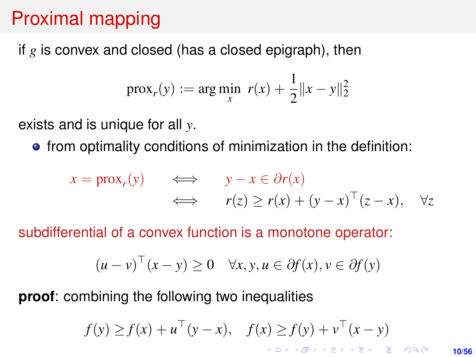# <span id="page-9-0"></span>Proximal mapping

if *g* is convex and closed (has a closed epigraph), then

$$
\text{prox}_r(y) := \arg\min_x \ r(x) + \frac{1}{2} ||x - y||_2^2
$$

exists and is unique for all *y*.

**•** from optimality conditions of minimization in the definition:

$$
x = \text{prox}_r(y) \qquad \Longleftrightarrow \qquad y - x \in \partial r(x) \n \Longleftrightarrow \qquad r(z) \ge r(x) + (y - x)^{\top} (z - x), \quad \forall z
$$

subdifferential of a convex function is a monotone operator:

$$
(u - v)^{\top}(x - y) \ge 0 \quad \forall x, y, u \in \partial f(x), v \in \partial f(y)
$$

**proof**: combining the following two inequalities

$$
f(y) \ge f(x) + u^\top (y - x), \quad f(x) \ge f(y) + v^\top (x - y)
$$

**10/56**

 $\mathcal{O}$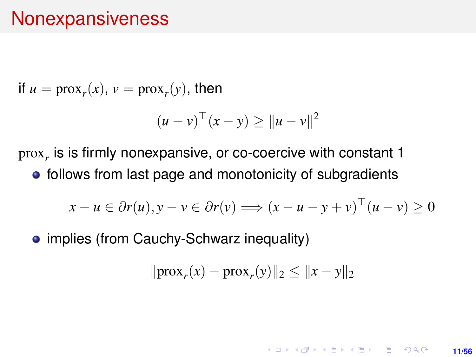#### Nonexpansiveness

if  $u = \text{prox}_r(x)$ ,  $v = \text{prox}_r(y)$ , then

$$
(u - v)^{\top} (x - y) \ge ||u - v||^2
$$

prox*<sup>r</sup>* is is firmly nonexpansive, or co-coercive with constant 1 • follows from last page and monotonicity of subgradients

$$
x - u \in \partial r(u), y - v \in \partial r(v) \Longrightarrow (x - u - y + v)^\top (u - v) \ge 0
$$

• implies (from Cauchy-Schwarz inequality)

$$
\|\text{prox}_r(x) - \text{prox}_r(y)\|_2 \le \|x - y\|_2
$$

**KORKARK A BIK BIKA A GA A GA A GA A BIKA A BIKA A BIKA A BIKA A BIKA A BIKA A BIKA A BIKA A BIKA A BIKA A BIKA 11/56**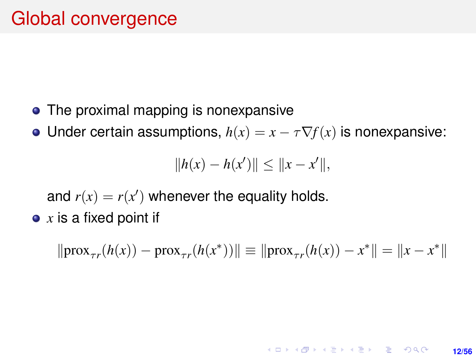- The proximal mapping is nonexpansive
- Under certain assumptions,  $h(x) = x \tau \nabla f(x)$  is nonexpansive:

$$
||h(x) - h(x')|| \le ||x - x'||,
$$

and  $r(x) = r(x')$  whenever the equality holds.

*x* is a fixed point if

$$
\|\text{prox}_{\tau r}(h(x)) - \text{prox}_{\tau r}(h(x^*))\| \equiv \|\text{prox}_{\tau r}(h(x)) - x^*\| = \|x - x^*\|
$$

**KORKARK KERKER DRAM** 

**12/56**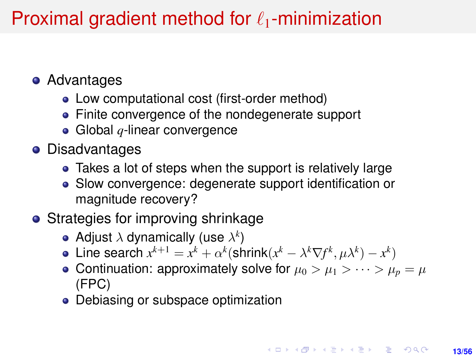# Proximal gradient method for  $\ell_1$ -minimization

- **•** Advantages
	- Low computational cost (first-order method)
	- Finite convergence of the nondegenerate support
	- Global *q*-linear convergence
- **•** Disadvantages
	- Takes a lot of steps when the support is relatively large
	- Slow convergence: degenerate support identification or magnitude recovery?
- Strategies for improving shrinkage
	- Adjust  $\lambda$  dynamically (use  $\lambda^k)$
	- Line search  $x^{k+1} = x^k + \alpha^k(\textsf{shrink}(x^k \lambda^k \nabla f^k, \mu \lambda^k) x^k)$
	- Continuation: approximately solve for  $\mu_0 > \mu_1 > \cdots > \mu_p = \mu$ (FPC)
	- Debiasing or subspace optimization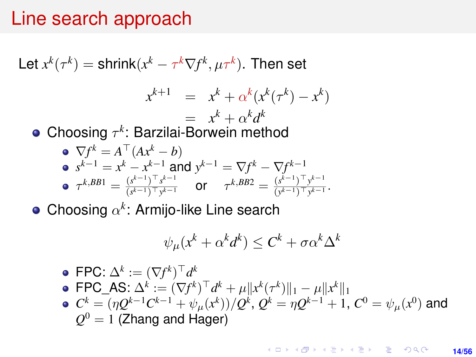#### Line search approach

Let  $x^k(\tau^k) = \mathsf{shrink}(x^k - \tau^k \nabla f^k, \mu \tau^k).$  Then set  $x^{k+1} = x^k + \alpha^k (x^k(\tau^k) - x^k)$  $= x^k + \alpha^k d^k$ Choosing τ *k* : Barzilai-Borwein method  $\nabla f^k = A^\top (Ax^k - b)$  $s^{k-1} = x^k - x^{k-1}$  and  $y^{k-1} = \nabla f^k - \nabla f^{k-1}$  $\tau^{k,BB1} = \frac{(s^{k-1})^{\top} s^{k-1}}{(s^{k-1})^{\top} s^{k-1}}$  $\frac{(s^{k-1})^{\top} s^{k-1}}{(s^{k-1})^{\top} y^{k-1}}$  or  $\tau^{k,BB2} = \frac{(s^{k-1})^{\top} y^{k-1}}{(y^{k-1})^{\top} y^{k-1}}$  $\frac{(s)}{(y^{k-1})$ <sup>⊤</sup>y<sup>k−1</sup></sub>.

Choosing  $\alpha^k$ : Armijo-like Line search

$$
\psi_{\mu}(x^k + \alpha^k d^k) \le C^k + \sigma \alpha^k \Delta^k
$$

• FPC: 
$$
\Delta^k := (\nabla f^k)^{\top} d^k
$$
  
\n• FPC\_AS:  $\Delta^k := (\nabla f^k)^{\top} d^k + \mu \|x^k (\tau^k)\|_1 - \mu \|x^k\|_1$   
\n•  $C^k = (\eta Q^{k-1} C^{k-1} + \psi_{\mu}(x^k))/Q^k$ ,  $Q^k = \eta Q^{k-1} + 1$ ,  $C^0 = \psi_{\mu}(x^0)$  and  $Q^0 = 1$  (Zhang and Hager)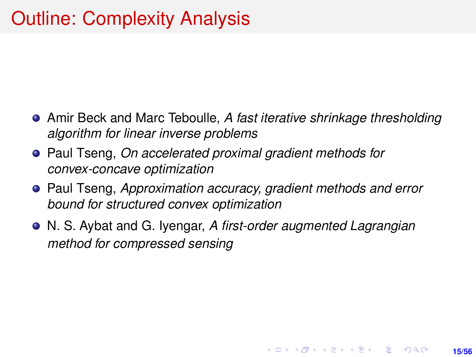- Amir Beck and Marc Teboulle, *A fast iterative shrinkage thresholding algorithm for linear inverse problems*
- Paul Tseng, *On accelerated proximal gradient methods for convex-concave optimization*
- Paul Tseng, *Approximation accuracy, gradient methods and error bound for structured convex optimization*
- N. S. Aybat and G. Iyengar, *A first-order augmented Lagrangian method for compressed sensing*

**15/56**

**KORKARK A BIK BIKA A GA A GA A GA A BIKA A BIKA A BIKA A BIKA A BIKA A BIKA A BIKA A BIKA A BIKA A BIKA A BIKA**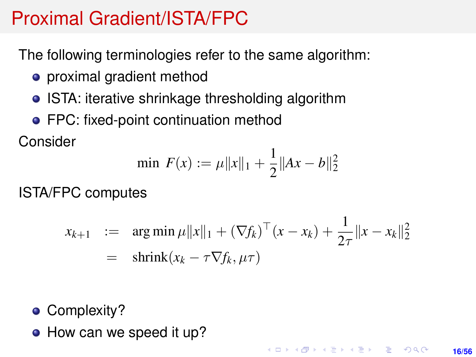# Proximal Gradient/ISTA/FPC

The following terminologies refer to the same algorithm:

- proximal gradient method
- ISTA: iterative shrinkage thresholding algorithm
- **•** FPC: fixed-point continuation method

Consider

$$
\min \ F(x) := \mu \|x\|_1 + \frac{1}{2} \|Ax - b\|_2^2
$$

ISTA/FPC computes

$$
x_{k+1} := \arg \min \mu ||x||_1 + (\nabla f_k)^{\top} (x - x_k) + \frac{1}{2\tau} ||x - x_k||_2^2
$$
  
=  $\operatorname{shrink}(x_k - \tau \nabla f_k, \mu \tau)$ 

- Complexity?
- How can we speed it up?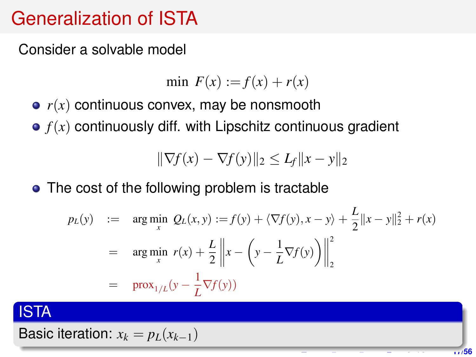# <span id="page-16-0"></span>Generalization of ISTA

Consider a solvable model

min  $F(x) := f(x) + r(x)$ 

 $\bullet$   $r(x)$  continuous convex, may be nonsmooth

 $\bullet$   $f(x)$  continuously diff. with Lipschitz continuous gradient

 $\|\nabla f(x) - \nabla f(y)\|_2 \leq L_f \|x - y\|_2$ 

• The cost of the following problem is tractable

$$
p_L(y) := \arg \min_{x} Q_L(x, y) := f(y) + \langle \nabla f(y), x - y \rangle + \frac{L}{2} ||x - y||_2^2 + r(x)
$$
  
= 
$$
\arg \min_{x} r(x) + \frac{L}{2} ||x - \left( y - \frac{1}{L} \nabla f(y) \right) ||_2^2
$$
  
= 
$$
\text{prox}_{1/L}(y - \frac{1}{L} \nabla f(y))
$$

#### ISTA

Basic iteration:  $x_k = p_L(x_{k-1})$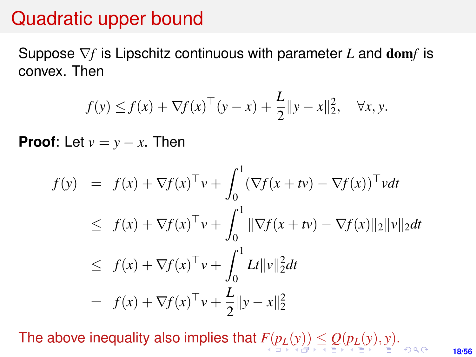# <span id="page-17-0"></span>Quadratic upper bound

Suppose ∇*f* is Lipschitz continuous with parameter *L* and dom*f* is convex. Then

$$
f(y) \le f(x) + \nabla f(x)^\top (y - x) + \frac{L}{2} ||y - x||_2^2, \quad \forall x, y.
$$

**Proof:** Let  $v = v - x$ . Then

$$
f(y) = f(x) + \nabla f(x)^{\top} v + \int_0^1 (\nabla f(x + tv) - \nabla f(x))^{\top} v dt
$$
  
\n
$$
\leq f(x) + \nabla f(x)^{\top} v + \int_0^1 ||\nabla f(x + tv) - \nabla f(x)||_2 ||v||_2 dt
$$
  
\n
$$
\leq f(x) + \nabla f(x)^{\top} v + \int_0^1 Lt ||v||_2^2 dt
$$
  
\n
$$
= f(x) + \nabla f(x)^{\top} v + \frac{L}{2} ||y - x||_2^2
$$

The above inequalit[y](#page-57-0) also im[p](#page-0-0)lies that  $F(p_L(y)) \leq Q(p_L(y), y)$  $F(p_L(y)) \leq Q(p_L(y), y)$  $F(p_L(y)) \leq Q(p_L(y), y)$  $F(p_L(y)) \leq Q(p_L(y), y)$  $F(p_L(y)) \leq Q(p_L(y), y)$  $F(p_L(y)) \leq Q(p_L(y), y)$  $F(p_L(y)) \leq Q(p_L(y), y)$  $F(p_L(y)) \leq Q(p_L(y), y)$  $F(p_L(y)) \leq Q(p_L(y), y)$  $F(p_L(y)) \leq Q(p_L(y), y)$  $F(p_L(y)) \leq Q(p_L(y), y)$ .

**18/56**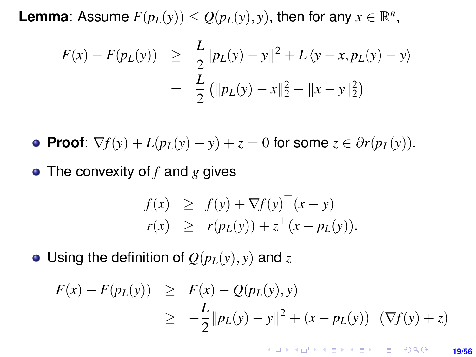<span id="page-18-0"></span>**Lemma**: Assume  $F(p_L(y)) \le Q(p_L(y), y)$ , then for any  $x \in \mathbb{R}^n$ ,

$$
F(x) - F(p_L(y)) \ge \frac{L}{2} ||p_L(y) - y||^2 + L \langle y - x, p_L(y) - y \rangle
$$
  
=  $\frac{L}{2} (||p_L(y) - x||_2^2 - ||x - y||_2^2)$ 

**• Proof**:  $\nabla f(y) + L(p_L(y) - y) + z = 0$  for some  $z \in \partial r(p_L(y))$ .

The convexity of *f* and *g* gives

$$
f(x) \geq f(y) + \nabla f(y)^\top (x - y)
$$
  
\n
$$
r(x) \geq r(p_L(y)) + z^\top (x - p_L(y)).
$$

• Using the definition of  $Q(p_L(y), y)$  and *z* 

$$
F(x) - F(p_L(y)) \ge F(x) - Q(p_L(y), y)
$$
  
\n
$$
\ge -\frac{L}{2} ||p_L(y) - y||^2 + (x - p_L(y))^\top (\nabla f(y) + z)
$$

**KORKARK KERKER DRAM 19/56**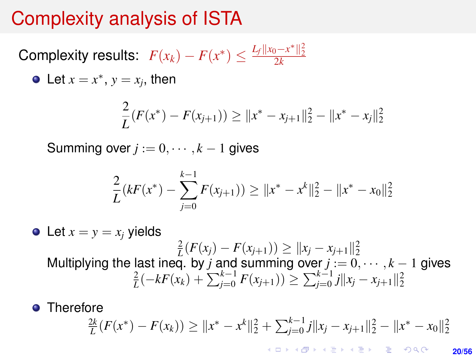# Complexity analysis of ISTA

Complexity results:  $F(x_k) - F(x^*) \le \frac{L_f ||x_0 - x^*||_2^2}{2k}$ 

Let  $x = x^*$ ,  $y = x_j$ , then

$$
\frac{2}{L}(F(x^*) - F(x_{j+1})) \ge ||x^* - x_{j+1}||_2^2 - ||x^* - x_j||_2^2
$$

Summing over  $j := 0, \dots, k-1$  gives

$$
\frac{2}{L}(kF(x^*) - \sum_{j=0}^{k-1} F(x_{j+1})) \ge ||x^* - x^k||_2^2 - ||x^* - x_0||_2^2
$$

- Let  $x = y = x_i$  yields  $\frac{2}{L}(F(x_j) - F(x_{j+1})) \geq ||x_j - x_{j+1}||_2^2$ Multiplying the last ineq. by j and summing over  $j := 0, \dots, k-1$  gives<br> $\frac{2}{L}(-kF(x_k) + \sum_{j=0}^{k-1} F(x_{j+1})) \ge \sum_{j=0}^{k-1} j ||x_j - x_{j+1}||_2^2$
- **•** Therefore

$$
\frac{2k}{L}(F(x^*)-F(x_k)) \geq \|x^*-x^k\|_2^2 + \sum_{j=0}^{k-1} j \|x_j-x_{j+1}\|_2^2 - \|x^*-x_0\|_2^2
$$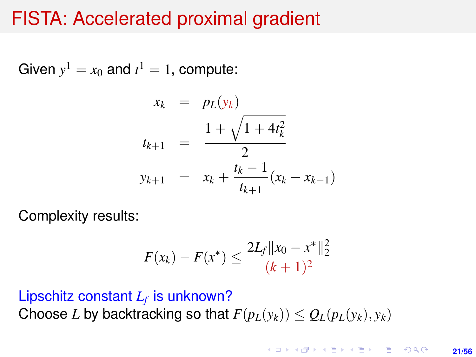## FISTA: Accelerated proximal gradient

Given  $y^1 = x_0$  and  $t^1 = 1$ , compute:

$$
x_k = p_L(y_k)
$$
  
\n
$$
t_{k+1} = \frac{1 + \sqrt{1 + 4t_k^2}}{2}
$$
  
\n
$$
y_{k+1} = x_k + \frac{t_k - 1}{t_{k+1}}(x_k - x_{k-1})
$$

Complexity results:

$$
F(x_k) - F(x^*) \le \frac{2L_f ||x_0 - x^*||_2^2}{(k+1)^2}
$$

#### Lipschitz constant *L<sup>f</sup>* is unknown? Choose *L* by backtracking so that  $F(p_L(y_k)) \leq Q_L(p_L(y_k), y_k)$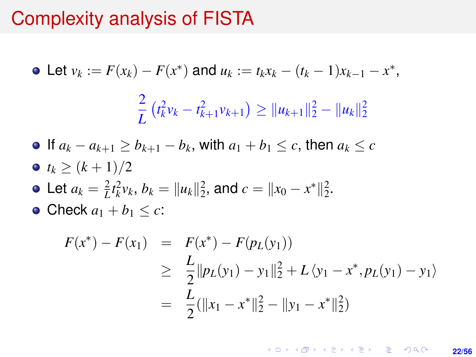#### Complexity analysis of FISTA

• Let 
$$
v_k := F(x_k) - F(x^*)
$$
 and  $u_k := t_k x_k - (t_k - 1)x_{k-1} - x^*$ ,  
\n
$$
\frac{2}{L} (t_k^2 v_k - t_{k+1}^2 v_{k+1}) \ge ||u_{k+1}||_2^2 - ||u_k||_2^2
$$

\n- If 
$$
a_k - a_{k+1} \ge b_{k+1} - b_k
$$
, with  $a_1 + b_1 \le c$ , then  $a_k \le c$
\n- $t_k \ge (k+1)/2$
\n- Let  $a_k = \frac{2}{L} t_k^2 v_k$ ,  $b_k = \|u_k\|_2^2$ , and  $c = \|x_0 - x^*\|_2^2$ .
\n

• Check  $a_1 + b_1 \leq c$ :

$$
F(x^*) - F(x_1) = F(x^*) - F(p_L(y_1))
$$
  
\n
$$
\geq \frac{L}{2} ||p_L(y_1) - y_1||_2^2 + L \langle y_1 - x^*, p_L(y_1) - y_1 \rangle
$$
  
\n
$$
= \frac{L}{2} (||x_1 - x^*||_2^2 - ||y_1 - x^*||_2^2)
$$

K ロ X (日) X (日) X (日) X (日) X (日) X (日) X (日) X (日) X (日) X (日) **22/56**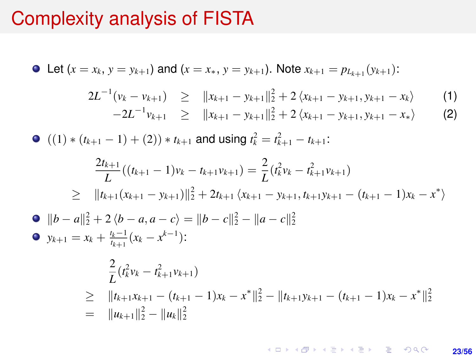## Complexity analysis of FISTA

\n- \n Let 
$$
(x = x_k, y = y_{k+1})
$$
 and  $(x = x_*, y = y_{k+1})$ . Note  $x_{k+1} = p_{L_{k+1}}(y_{k+1})$ :\n  $2L^{-1}(v_k - v_{k+1}) \geq ||x_{k+1} - y_{k+1}||_2^2 + 2\langle x_{k+1} - y_{k+1}, y_{k+1} - x_k \rangle$ \n (1)  $-2L^{-1}v_{k+1} \geq ||x_{k+1} - y_{k+1}||_2^2 + 2\langle x_{k+1} - y_{k+1}, y_{k+1} - x_* \rangle$ \n (2)  $((1) * (t_{k+1} - 1) + (2)) * t_{k+1}$  and using  $t_k^2 = t_{k+1}^2 - t_{k+1}$ :\n  $\frac{2t_{k+1}}{L}((t_{k+1} - 1)v_k - t_{k+1}v_{k+1}) = \frac{2}{L}(t_k^2v_k - t_{k+1}^2v_{k+1})$ \n $\geq ||t_{k+1}(x_{k+1} - y_{k+1})||_2^2 + 2t_{k+1}\langle x_{k+1} - y_{k+1}, t_{k+1}y_{k+1} - (t_{k+1} - 1)x_k - x^* \rangle$ \n
\n- \n 10  $||b - a||_2^2 + 2\langle b - a, a - c \rangle = ||b - c||_2^2 - ||a - c||_2^2$ \n
\n- \n 2  $y_{k+1} = x_k + \frac{t_{k-1}}{t_{k+1}}(x_k - x^{k-1})$ :\n  $\frac{2}{L}(t_k^2v_k - t_{k+1}^2v_{k+1})$ \n $\geq ||t_{k+1}x_{k+1} - (t_{k+1} - 1)x_k - x^*||_2^2 - ||t_{k+1}y_{k+1} - (t_{k+1} - 1)x_k - x^*||_2^2$ \n $= ||u_{k+1}||_2^2 - ||u_k||_2^2$ \n
\n

K ロ X (日) X (日) X (日) X (日) X (日) X (日) X (日) X (日) X (日) X (日) **23/56**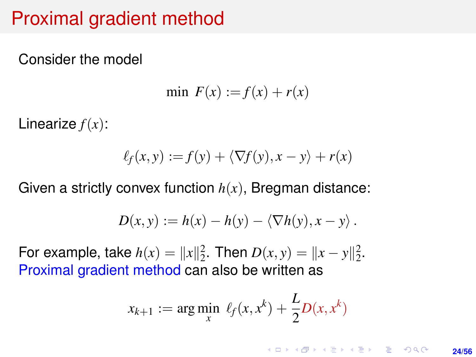## Proximal gradient method

Consider the model

$$
\min \ F(x) := f(x) + r(x)
$$

Linearize *f*(*x*):

$$
\ell_f(x, y) := f(y) + \langle \nabla f(y), x - y \rangle + r(x)
$$

Given a strictly convex function *h*(*x*), Bregman distance:

$$
D(x, y) := h(x) - h(y) - \langle \nabla h(y), x - y \rangle.
$$

For example, take  $h(x) = ||x||_2^2$ . Then  $D(x, y) = ||x - y||_2^2$ . Proximal gradient method can also be written as

$$
x_{k+1} := \arg\min_{x} \ell_f(x, x^k) + \frac{L}{2}D(x, x^k)
$$

**KORKARK KERKER DRAM 24/56**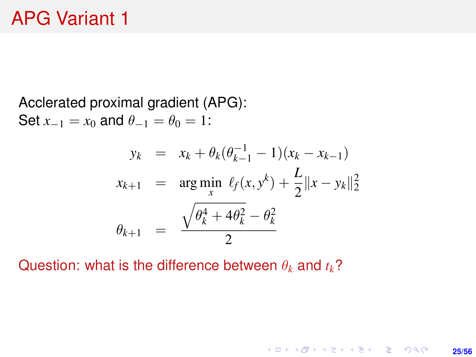Acclerated proximal gradient (APG): Set  $x_{-1} = x_0$  and  $\theta_{-1} = \theta_0 = 1$ :

$$
y_k = x_k + \theta_k(\theta_{k-1}^{-1} - 1)(x_k - x_{k-1})
$$
  
\n
$$
x_{k+1} = \arg \min_{x} \ell_f(x, y^k) + \frac{L}{2} ||x - y_k||_2^2
$$
  
\n
$$
\theta_{k+1} = \frac{\sqrt{\theta_k^4 + 4\theta_k^2} - \theta_k^2}{2}
$$

**25/56**

K ロ ▶ K @ ▶ K 할 ▶ K 할 ▶ ... 할 → 9 Q @

Question: what is the difference between  $\theta_k$  and  $t_k$ ?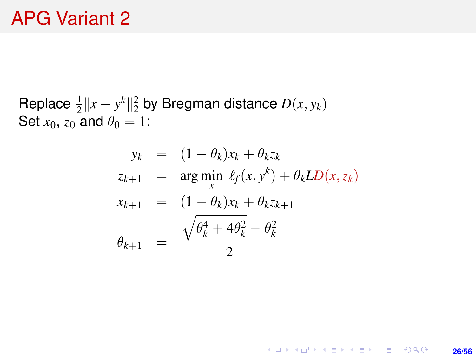Replace  $\frac{1}{2}||x - y^k||_2^2$  by Bregman distance  $D(x, y_k)$ Set  $x_0$ ,  $z_0$  and  $\theta_0 = 1$ :

$$
y_k = (1 - \theta_k)x_k + \theta_k z_k
$$
  
\n
$$
z_{k+1} = \arg \min_x \ell_f(x, y^k) + \theta_k LD(x, z_k)
$$
  
\n
$$
x_{k+1} = (1 - \theta_k)x_k + \theta_k z_{k+1}
$$
  
\n
$$
\theta_{k+1} = \frac{\sqrt{\theta_k^4 + 4\theta_k^2} - \theta_k^2}{2}
$$

K ロ ▶ K @ ▶ K 할 ▶ K 할 ▶ 이 할 → 9 Q @ **26/56**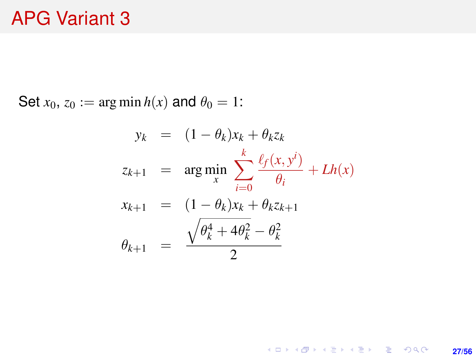#### APG Variant 3

Set  $x_0$ ,  $z_0 := \arg \min h(x)$  and  $\theta_0 = 1$ :

$$
y_k = (1 - \theta_k)x_k + \theta_k z_k
$$
  
\n
$$
z_{k+1} = \arg \min_{x} \sum_{i=0}^{k} \frac{\ell_f(x, y^i)}{\theta_i} + Lh(x)
$$
  
\n
$$
x_{k+1} = (1 - \theta_k)x_k + \theta_k z_{k+1}
$$
  
\n
$$
\theta_{k+1} = \frac{\sqrt{\theta_k^4 + 4\theta_k^2} - \theta_k^2}{2}
$$

KOX KORK KEX KEX LE LONG **27/56**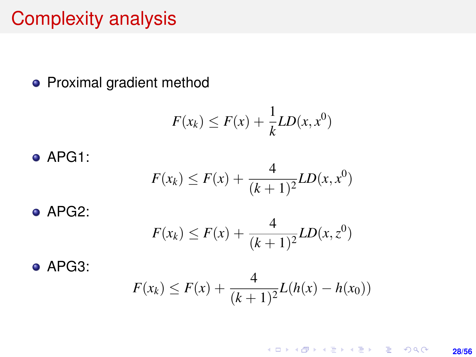## Complexity analysis

• Proximal gradient method

$$
F(x_k) \leq F(x) + \frac{1}{k}LD(x, x^0)
$$

APG1:  $F(x_k) \leq F(x) + \frac{4}{(k+1)^2} L D(x, x^0)$ 

APG2:

$$
F(x_k) \le F(x) + \frac{4}{(k+1)^2} L D(x, z^0)
$$

APG3:

$$
F(x_k) \leq F(x) + \frac{4}{(k+1)^2}L(h(x) - h(x_0))
$$

**KORKARK KERKER DRAM 28/56**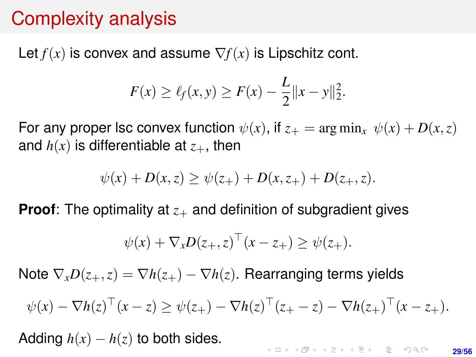# Complexity analysis

Let  $f(x)$  is convex and assume  $\nabla f(x)$  is Lipschitz cont.

$$
F(x) \ge \ell_f(x, y) \ge F(x) - \frac{L}{2} ||x - y||_2^2.
$$

For any proper lsc convex function  $\psi(x)$ , if  $z_+ = \arg \min_x \psi(x) + D(x, z)$ and  $h(x)$  is differentiable at  $z_{+}$ , then

$$
\psi(x) + D(x, z) \ge \psi(z_+) + D(x, z_+) + D(z_+, z).
$$

**Proof:** The optimality at  $z_{+}$  and definition of subgradient gives

$$
\psi(x) + \nabla_x D(z_+, z)^\top (x - z_+) \geq \psi(z_+).
$$

Note  $\nabla_{x}D(z_{+},z)=\nabla h(z_{+})-\nabla h(z)$ . Rearranging terms yields

$$
\psi(x) - \nabla h(z)^{\top}(x - z) \geq \psi(z_+) - \nabla h(z)^{\top}(z_+ - z) - \nabla h(z_+)^\top(x - z_+).
$$

Adding  $h(x) - h(z)$  to both sides.

KO KKO KABIKA BIKA 2000 **29/56**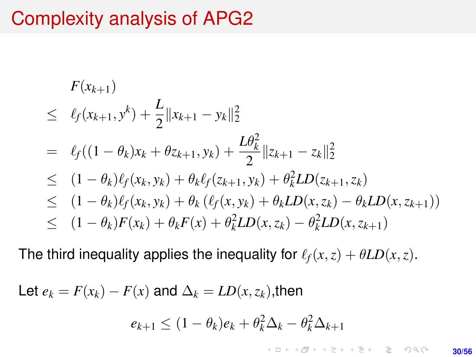## Complexity analysis of APG2

$$
F(x_{k+1})
$$
  
\n
$$
\leq \ell_f(x_{k+1}, y^k) + \frac{L}{2} ||x_{k+1} - y_k||_2^2
$$
  
\n
$$
= \ell_f((1 - \theta_k)x_k + \theta z_{k+1}, y_k) + \frac{L\theta_k^2}{2} ||z_{k+1} - z_k||_2^2
$$
  
\n
$$
\leq (1 - \theta_k)\ell_f(x_k, y_k) + \theta_k\ell_f(z_{k+1}, y_k) + \theta_k^2LD(z_{k+1}, z_k)
$$
  
\n
$$
\leq (1 - \theta_k)\ell_f(x_k, y_k) + \theta_k(\ell_f(x, y_k) + \theta_k LD(x, z_k) - \theta_k LD(x, z_{k+1}))
$$
  
\n
$$
\leq (1 - \theta_k)F(x_k) + \theta_k F(x) + \theta_k^2 LD(x, z_k) - \theta_k^2 LD(x, z_{k+1})
$$

The third inequality applies the inequality for  $\ell_f(x, z) + \theta LD(x, z)$ .

Let 
$$
e_k = F(x_k) - F(x)
$$
 and  $\Delta_k = LD(x, z_k)$ , then  

$$
e_{k+1} \le (1 - \theta_k)e_k + \theta_k^2 \Delta_k - \theta_k^2 \Delta_{k+1}
$$

K ロ ▶ K @ ▶ K 할 ▶ K 할 ▶ 이 할 → 9 Q @ **30/56**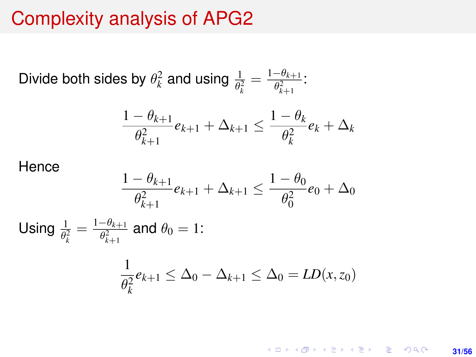#### Complexity analysis of APG2

Divide both sides by  $\theta_k^2$  and using  $\frac{1}{\theta_k^2} = \frac{1-\theta_{k+1}}{\theta_{k+1}^2}$  $\frac{\theta_{k+1}^2}{\theta_{k+1}^2}$ :

$$
\frac{1-\theta_{k+1}}{\theta_{k+1}^2}e_{k+1}+\Delta_{k+1}\leq \frac{1-\theta_k}{\theta_k^2}e_k+\Delta_k
$$

Hence

$$
\frac{1-\theta_{k+1}}{\theta_{k+1}^2}e_{k+1} + \Delta_{k+1} \le \frac{1-\theta_0}{\theta_0^2}e_0 + \Delta_0
$$

Using 
$$
\frac{1}{\theta_k^2} = \frac{1 - \theta_{k+1}}{\theta_{k+1}^2}
$$
 and  $\theta_0 = 1$ :

$$
\frac{1}{\theta_k^2}e_{k+1} \leq \Delta_0 - \Delta_{k+1} \leq \Delta_0 = LD(x, z_0)
$$

KO KKO KABIKA BIKA 2000 **31/56**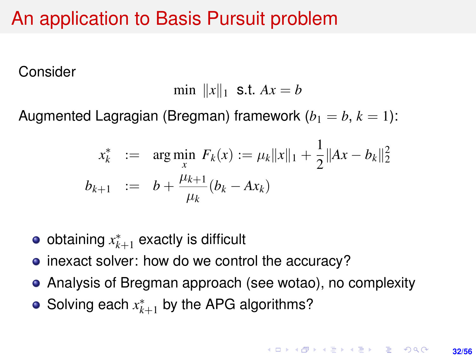# An application to Basis Pursuit problem

Consider

min  $||x||_1$  **s.t.**  $Ax = b$ 

Augmented Lagragian (Bregman) framework  $(b_1 = b, k = 1)$ :

$$
x_k^* := \arg\min_{x} F_k(x) := \mu_k ||x||_1 + \frac{1}{2} ||Ax - b_k||_2^2
$$
  

$$
b_{k+1} := b + \frac{\mu_{k+1}}{\mu_k} (b_k - Ax_k)
$$

obtaining  $x_{k+1}^*$  exactly is difficult

- inexact solver: how do we control the accuracy?
- Analysis of Bregman approach (see wotao), no complexity
- Solving each  $x_{k+1}^*$  by the APG algorithms?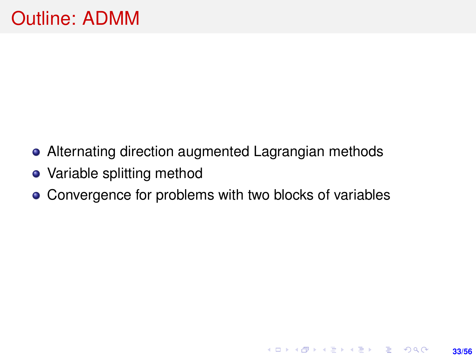- Alternating direction augmented Lagrangian methods
- Variable splitting method
- Convergence for problems with two blocks of variables

**33/56**

K ロ ▶ K @ ▶ K 할 ▶ K 할 ▶ ... 할 → 9 Q @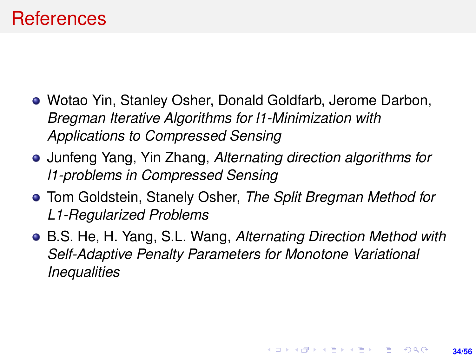## **References**

- Wotao Yin, Stanley Osher, Donald Goldfarb, Jerome Darbon, *Bregman Iterative Algorithms for l1-Minimization with Applications to Compressed Sensing*
- Junfeng Yang, Yin Zhang, *Alternating direction algorithms for l1-problems in Compressed Sensing*
- Tom Goldstein, Stanely Osher, *The Split Bregman Method for L1-Regularized Problems*
- B.S. He, H. Yang, S.L. Wang, *Alternating Direction Method with Self-Adaptive Penalty Parameters for Monotone Variational Inequalities*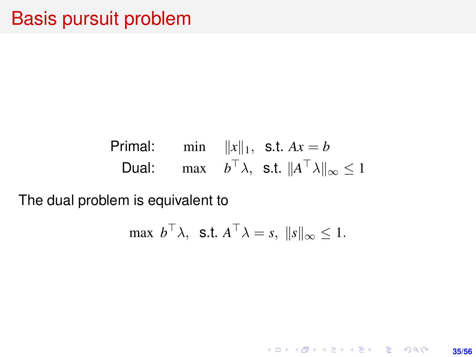Primal: min  $||x||_1$ , s.t.  $Ax = b$ Dual: max  $b^{\top} \lambda$ , s.t.  $||A^{\top} \lambda||_{\infty} \leq 1$ 

The dual problem is equivalent to

$$
\max b^{\top} \lambda, \ \text{ s.t. } A^{\top} \lambda = s, \ \|s\|_{\infty} \leq 1.
$$

**35/56**

K ロ ▶ K @ ▶ K 할 ▶ K 할 ▶ 이 할 → 9 Q @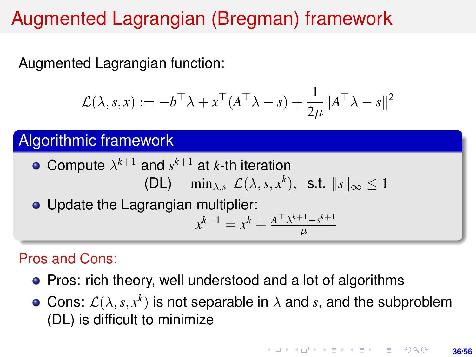# Augmented Lagrangian (Bregman) framework

Augmented Lagrangian function:

$$
\mathcal{L}(\lambda, s, x) := -b^{\top} \lambda + x^{\top} (A^{\top} \lambda - s) + \frac{1}{2\mu} \|A^{\top} \lambda - s\|^2
$$

#### Algorithmic framework

Compute  $\lambda^{k+1}$  and  $s^{k+1}$  at *k*-th iteration (DL)  $\min_{\lambda, s} \mathcal{L}(\lambda, s, x^k), \text{ s.t. } ||s||_{\infty} \leq 1$ • Update the Lagrangian multiplier:  $x^{k+1} = x^k + \frac{A^\top \lambda^{k+1} - s^{k+1}}{h}$  $\mu$ 

#### Pros and Cons:

- Pros: rich theory, well understood and a lot of algorithms
- Cons:  $\mathcal{L}(\lambda, s, x^k)$  is not separable in  $\lambda$  and *s*, and the subproblem (DL) is difficult to minimize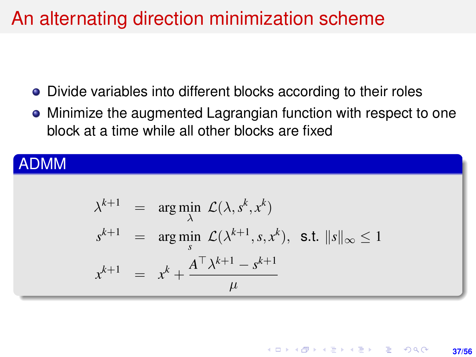## An alternating direction minimization scheme

- Divide variables into different blocks according to their roles
- Minimize the augmented Lagrangian function with respect to one block at a time while all other blocks are fixed

#### ADMM

$$
\lambda^{k+1} = \underset{\lambda}{\arg \min} \mathcal{L}(\lambda, s^k, x^k)
$$
  
\n
$$
s^{k+1} = \underset{s}{\arg \min} \mathcal{L}(\lambda^{k+1}, s, x^k), \text{ s.t. } ||s||_{\infty} \le 1
$$
  
\n
$$
x^{k+1} = x^k + \frac{A^{\top} \lambda^{k+1} - s^{k+1}}{\mu}
$$

KORK ERKER ERKER **37/56**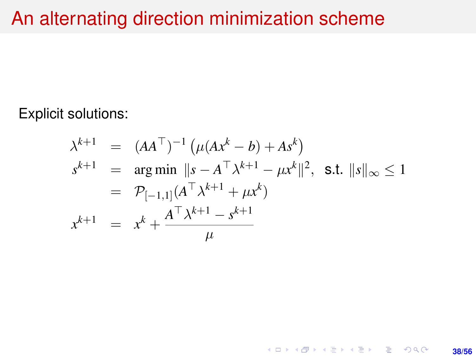#### An alternating direction minimization scheme

Explicit solutions:

$$
\lambda^{k+1} = (AA^{\top})^{-1} \left( \mu(Ax^{k} - b) + As^{k} \right)
$$
  
\n
$$
s^{k+1} = \arg \min ||s - A^{\top} \lambda^{k+1} - \mu x^{k}||^{2}, \text{ s.t. } ||s||_{\infty} \le 1
$$
  
\n
$$
= \mathcal{P}_{[-1,1]}(A^{\top} \lambda^{k+1} + \mu x^{k})
$$
  
\n
$$
x^{k+1} = x^{k} + \frac{A^{\top} \lambda^{k+1} - s^{k+1}}{\mu}
$$

**38/56**

K ロ X (日) X (日) X (日) X (日) X (日) X (日) X (日) X (日) X (日) X (日) X (日)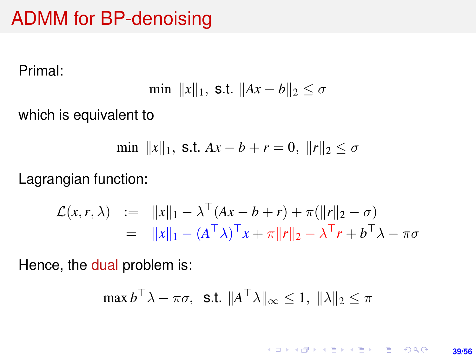# ADMM for BP-denoising

Primal:

min 
$$
||x||_1
$$
, s.t.  $||Ax - b||_2 \le \sigma$ 

which is equivalent to

$$
\min \|x\|_1, \text{ s.t. } Ax - b + r = 0, \|r\|_2 \le \sigma
$$

Lagrangian function:

$$
\mathcal{L}(x, r, \lambda) := ||x||_1 - \lambda^\top (Ax - b + r) + \pi(||r||_2 - \sigma)
$$
  
= 
$$
||x||_1 - (A^\top \lambda)^\top x + \pi ||r||_2 - \lambda^\top r + b^\top \lambda - \pi \sigma
$$

Hence, the dual problem is:

$$
\max b^{\top} \lambda - \pi \sigma, \text{ s.t. } \|A^{\top} \lambda\|_{\infty} \le 1, \| \lambda \|_{2} \le \pi
$$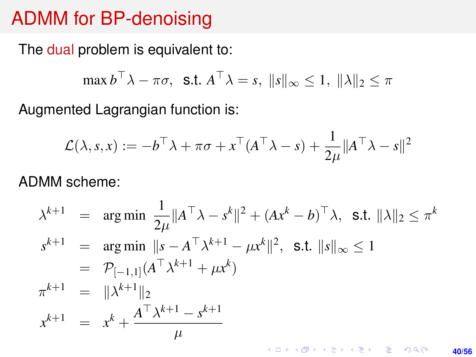#### ADMM for BP-denoising

The dual problem is equivalent to:

$$
\max b^{\top} \lambda - \pi \sigma, \text{ s.t. } A^{\top} \lambda = s, \|s\|_{\infty} \le 1, \| \lambda \|_{2} \le \pi
$$

Augmented Lagrangian function is:

$$
\mathcal{L}(\lambda, s, x) := -b^\top \lambda + \pi \sigma + x^\top (A^\top \lambda - s) + \frac{1}{2\mu} ||A^\top \lambda - s||^2
$$

ADMM scheme:

$$
\lambda^{k+1} = \arg \min \frac{1}{2\mu} \|A^{\top} \lambda - s^k\|^2 + (Ax^k - b)^{\top} \lambda, \text{ s.t. } \|\lambda\|_2 \le \pi^k
$$
  
\n
$$
s^{k+1} = \arg \min \|\mathbf{s} - A^{\top} \lambda^{k+1} - \mu x^k\|^2, \text{ s.t. } \|\mathbf{s}\|_{\infty} \le 1
$$
  
\n
$$
= \mathcal{P}_{[-1,1]}(A^{\top} \lambda^{k+1} + \mu x^k)
$$
  
\n
$$
\pi^{k+1} = \|\lambda^{k+1}\|_2
$$
  
\n
$$
x^{k+1} = x^k + \frac{A^{\top} \lambda^{k+1} - s^{k+1}}{\mu}
$$

K ロ ▶ K @ ▶ K 할 ▶ K 할 ▶ 이 할 → 9 Q @ **40/56**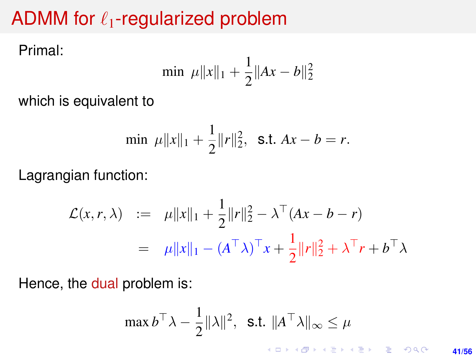# ADMM for  $\ell_1$ -regularized problem

Primal:

$$
\min \ \mu \|x\|_1 + \frac{1}{2} \|Ax - b\|_2^2
$$

which is equivalent to

$$
\min \ \mu \|x\|_1 + \frac{1}{2} \|r\|_2^2, \ \text{ s.t. } Ax - b = r.
$$

Lagrangian function:

$$
\mathcal{L}(x, r, \lambda) := \mu \|x\|_1 + \frac{1}{2} \|r\|_2^2 - \lambda^{\top} (Ax - b - r)
$$
  
=  $\mu \|x\|_1 - (A^{\top} \lambda)^{\top} x + \frac{1}{2} \|r\|_2^2 + \lambda^{\top} r + b^{\top} \lambda$ 

Hence, the dual problem is:

$$
\max b^{\top} \lambda - \frac{1}{2} \|\lambda\|^2, \quad \text{s.t. } \|A^{\top} \lambda\|_{\infty} \leq \mu
$$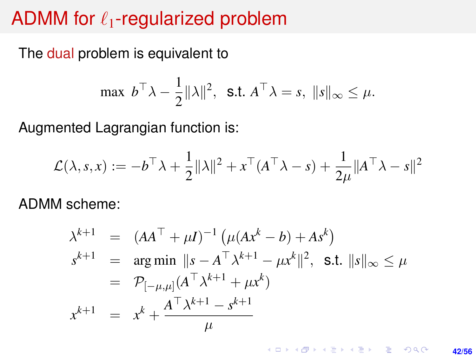#### ADMM for  $\ell_1$ -regularized problem

The dual problem is equivalent to

$$
\max b^{\top} \lambda - \frac{1}{2} ||\lambda||^2, \text{ s.t. } A^{\top} \lambda = s, ||s||_{\infty} \leq \mu.
$$

Augmented Lagrangian function is:

$$
\mathcal{L}(\lambda, s, x) := -b^{\top} \lambda + \frac{1}{2} ||\lambda||^2 + x^{\top} (A^{\top} \lambda - s) + \frac{1}{2\mu} ||A^{\top} \lambda - s||^2
$$

ADMM scheme:

$$
\lambda^{k+1} = (AA^{\top} + \mu I)^{-1} (\mu(Ax^{k} - b) + As^{k})
$$
\n
$$
s^{k+1} = \arg \min ||s - A^{\top} \lambda^{k+1} - \mu x^{k}||^{2}, \text{ s.t. } ||s||_{\infty} \le \mu
$$
\n
$$
= \mathcal{P}_{[-\mu,\mu]}(A^{\top} \lambda^{k+1} + \mu x^{k})
$$
\n
$$
x^{k+1} = x^{k} + \frac{A^{\top} \lambda^{k+1} - s^{k+1}}{\mu}
$$

**KORKARK KERKER DRAM 42/56**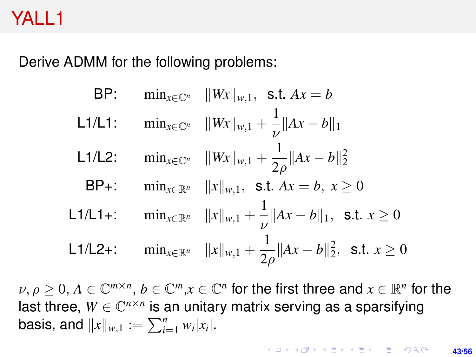# YALL1

Derive ADMM for the following problems:

\n
$$
\text{BP:} \quad \min_{x \in \mathbb{C}^n} \quad \|Wx\|_{w,1}, \quad \text{s.t.} \quad Ax = b
$$
\n

\n\n
$$
\text{L1/L1:} \quad \min_{x \in \mathbb{C}^n} \quad \|Wx\|_{w,1} + \frac{1}{\nu} \|Ax - b\|_1
$$
\n

\n\n
$$
\text{L1/L2:} \quad \min_{x \in \mathbb{C}^n} \quad \|Wx\|_{w,1} + \frac{1}{2\rho} \|Ax - b\|_2^2
$$
\n

\n\n
$$
\text{BP+:} \quad \min_{x \in \mathbb{R}^n} \quad \|x\|_{w,1}, \quad \text{s.t.} \quad Ax = b, \quad x \ge 0
$$
\n

\n\n
$$
\text{L1/L1+:} \quad \min_{x \in \mathbb{R}^n} \quad \|x\|_{w,1} + \frac{1}{\nu} \|Ax - b\|_1, \quad \text{s.t.} \quad x \ge 0
$$
\n

\n\n
$$
\text{L1/L2+:} \quad \min_{x \in \mathbb{R}^n} \quad \|x\|_{w,1} + \frac{1}{2\rho} \|Ax - b\|_2^2, \quad \text{s.t.} \quad x \ge 0
$$
\n

 $\nu, \rho \geq 0, A \in \mathbb{C}^{m \times n}, b \in \mathbb{C}^m, x \in \mathbb{C}^n$  for the first three and  $x \in \mathbb{R}^n$  for the last three,  $W \in \mathbb{C}^{n \times n}$  is an unitary matrix serving as a sparsifying basis, and  $||x||_{w,1} := \sum_{i=1}^{n} w_i |x_i|$ .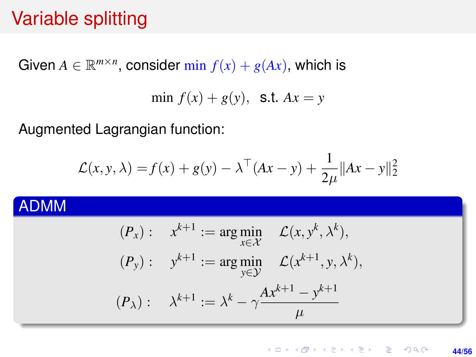# Variable splitting

Given  $A \in \mathbb{R}^{m \times n}$ , consider  $\min f(x) + g(Ax)$ , which is

$$
\min f(x) + g(y), \text{ s.t. } Ax = y
$$

Augmented Lagrangian function:

$$
\mathcal{L}(x, y, \lambda) = f(x) + g(y) - \lambda^{\top} (Ax - y) + \frac{1}{2\mu} ||Ax - y||_2^2
$$

#### ADMM

$$
(P_x): \quad x^{k+1} := \arg\min_{x \in \mathcal{X}} \quad \mathcal{L}(x, y^k, \lambda^k),
$$

$$
(P_y): \quad y^{k+1} := \arg\min_{y \in \mathcal{Y}} \quad \mathcal{L}(x^{k+1}, y, \lambda^k),
$$

$$
(P_\lambda): \quad \lambda^{k+1} := \lambda^k - \gamma \frac{Ax^{k+1} - y^{k+1}}{\mu}
$$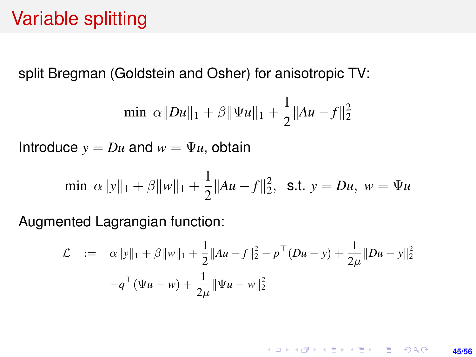# Variable splitting

split Bregman (Goldstein and Osher) for anisotropic TV:

$$
\min \ \alpha ||Du||_1 + \beta ||\Psi u||_1 + \frac{1}{2} ||Au - f||_2^2
$$

Introduce  $y = Du$  and  $w = \Psi u$ , obtain

$$
\min \ \alpha ||y||_1 + \beta ||w||_1 + \frac{1}{2} ||Au - f||_2^2, \ \text{ s.t. } y = Du, \ w = \Psi u
$$

Augmented Lagrangian function:

$$
\mathcal{L} := \alpha ||y||_1 + \beta ||w||_1 + \frac{1}{2} ||Au - f||_2^2 - p^\top (Du - y) + \frac{1}{2\mu} ||Du - y||_2^2
$$
  

$$
-q^\top (\Psi u - w) + \frac{1}{2\mu} ||\Psi u - w||_2^2
$$

**KORKARK KERKER DRAM 45/56**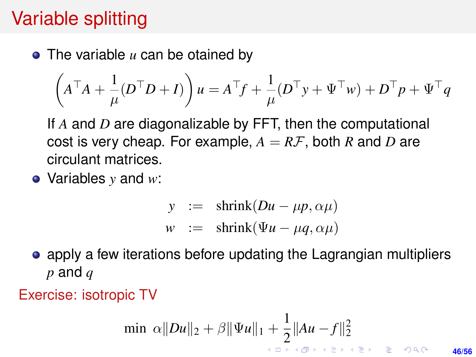# Variable splitting

• The variable *u* can be otained by

$$
\left(A^{\top}A + \frac{1}{\mu}(D^{\top}D + I)\right)u = A^{\top}f + \frac{1}{\mu}(D^{\top}y + \Psi^{\top}w) + D^{\top}p + \Psi^{\top}q
$$

If *A* and *D* are diagonalizable by FFT, then the computational cost is very cheap. For example,  $A = RF$ , both R and D are circulant matrices.

Variables *y* and *w*:

$$
y := \text{shrink}(Du - \mu p, \alpha \mu)
$$
  

$$
w := \text{shrink}(\Psi u - \mu q, \alpha \mu)
$$

apply a few iterations before updating the Lagrangian multipliers *p* and *q*

Exercise: isotropic TV

$$
\min \ \alpha ||Du||_2 + \beta ||\Psi u||_1 + \frac{1}{2} ||Au - f||_2^2
$$

**46/56**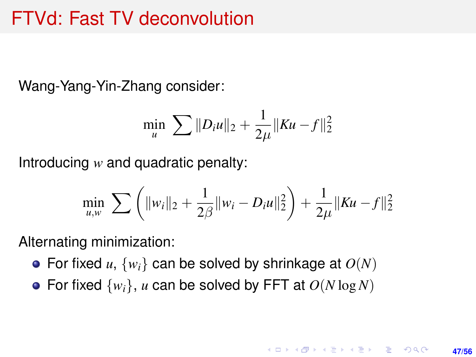## <span id="page-46-0"></span>FTVd: Fast TV deconvolution

Wang-Yang-Yin-Zhang consider:

$$
\min_{u} \sum ||D_i u||_2 + \frac{1}{2\mu} ||Ku - f||_2^2
$$

Introducing *w* and quadratic penalty:

$$
\min_{u,w} \sum \left( ||w_i||_2 + \frac{1}{2\beta} ||w_i - D_iu||_2^2 \right) + \frac{1}{2\mu} ||Ru - f||_2^2
$$

Alternating minimization:

- For fixed  $u$ ,  $\{w_i\}$  can be solved by shrinkage at  $O(N)$
- For fixed  $\{w_i\}$ , *u* can be solved by FFT at  $O(N \log N)$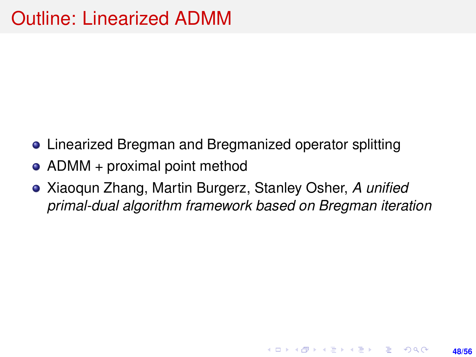- Linearized Bregman and Bregmanized operator splitting
- $\bullet$  ADMM + proximal point method
- Xiaoqun Zhang, Martin Burgerz, Stanley Osher, *A unified primal-dual algorithm framework based on Bregman iteration*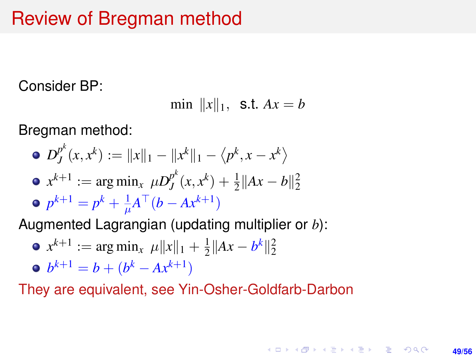## Review of Bregman method

Consider BP:

min  $||x||_1$ , **s.t.**  $Ax = b$ 

Bregman method:

• 
$$
D_J^{p^k}(x, x^k) := ||x||_1 - ||x^k||_1 - \langle p^k, x - x^k \rangle
$$
  
\n•  $x^{k+1} := \arg \min_x \mu D_J^{p^k}(x, x^k) + \frac{1}{2} ||Ax - b||_2^2$   
\n•  $p^{k+1} = p^k + \frac{1}{\mu} A^{\top} (b - Ax^{k+1})$ 

Augmented Lagrangian (updating multiplier or *b*):

• 
$$
x^{k+1} := \arg \min_x \mu ||x||_1 + \frac{1}{2} ||Ax - b^k||_2^2
$$
  
•  $b^{k+1} = b + (b^k - Ax^{k+1})$ 

They are equivalent, see Yin-Osher-Goldfarb-Darbon

**KORKARK KERKER DRAM 49/56**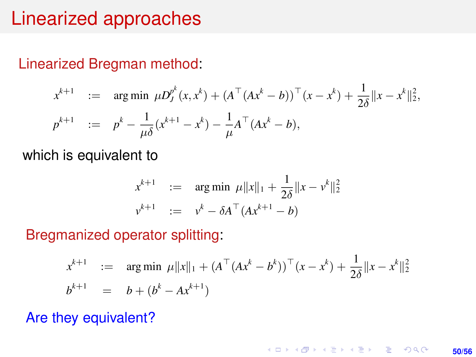#### Linearized approaches

#### Linearized Bregman method:

$$
x^{k+1} := \arg \min \mu D_f^{p^k}(x, x^k) + (A^{\top} (Ax^k - b))^{\top} (x - x^k) + \frac{1}{2\delta} ||x - x^k||_2^2,
$$
  

$$
p^{k+1} := p^k - \frac{1}{\mu\delta} (x^{k+1} - x^k) - \frac{1}{\mu} A^{\top} (Ax^k - b),
$$

which is equivalent to

$$
x^{k+1} := \arg \min \mu \|x\|_1 + \frac{1}{2\delta} \|x - v^k\|_2^2
$$
  

$$
v^{k+1} := v^k - \delta A^\top (Ax^{k+1} - b)
$$

Bregmanized operator splitting:

$$
x^{k+1} := \arg \min \mu \|x\|_1 + (A^{\top} (Ax^k - b^k))^{\top} (x - x^k) + \frac{1}{2\delta} \|x - x^k\|_2^2
$$
  

$$
b^{k+1} = b + (b^k - Ax^{k+1})
$$

Are they equivalent?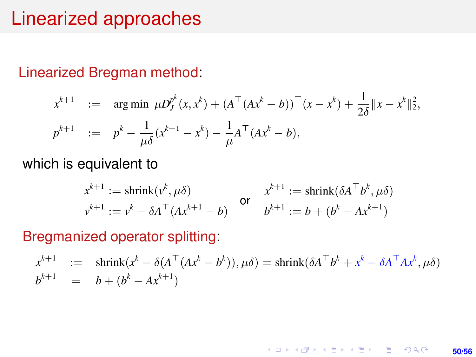#### Linearized approaches

#### Linearized Bregman method:

$$
x^{k+1} := \arg \min \mu D_f^{p^k}(x, x^k) + (A^{\top} (Ax^k - b))^{\top} (x - x^k) + \frac{1}{2\delta} ||x - x^k||_2^2,
$$
  

$$
p^{k+1} := p^k - \frac{1}{\mu\delta} (x^{k+1} - x^k) - \frac{1}{\mu} A^{\top} (Ax^k - b),
$$

#### which is equivalent to

$$
x^{k+1} := \text{shrink}(v^k, \mu \delta) \qquad x^{k+1} := \text{shrink}(\delta A^{\top} b^k, \mu \delta)
$$
  

$$
v^{k+1} := v^k - \delta A^{\top} (Ax^{k+1} - b) \qquad b^{k+1} := b + (b^k - Ax^{k+1})
$$

#### Bregmanized operator splitting:

$$
x^{k+1} := \text{shrink}(x^k - \delta(A^\top(Ax^k - b^k)), \mu\delta) = \text{shrink}(\delta A^\top b^k + x^k - \delta A^\top A x^k, \mu\delta)
$$
  

$$
b^{k+1} = b + (b^k - A x^{k+1})
$$

#### K ロ ▶ K @ ▶ K 할 ▶ K 할 ▶ ... 할 → 9 Q @ **50/56**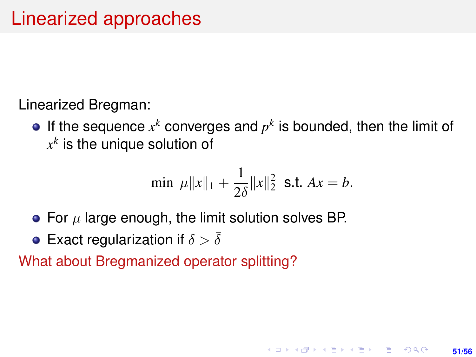Linearized Bregman:

If the sequence  $x^k$  converges and  $p^k$  is bounded, then the limit of  $x^k$  is the unique solution of

$$
\min \ \mu \|x\|_1 + \frac{1}{2\delta} \|x\|_2^2 \ \text{ s.t. } Ax = b.
$$

**51/56**

**KORKARK A BIK BIKA A GA A GA A GA A BIKA A BIKA A BIKA A BIKA A BIKA A BIKA A BIKA A BIKA A BIKA A BIKA A BIKA** 

- For  $\mu$  large enough, the limit solution solves BP.
- **•** Exact regularization if  $\delta > \delta$

What about Bregmanized operator splitting?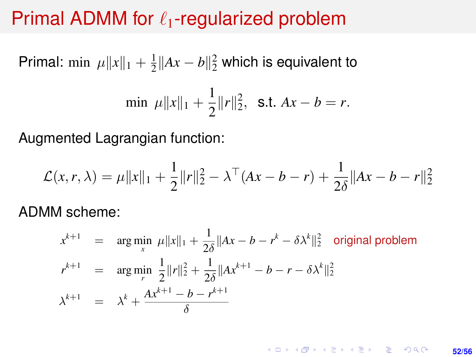#### Primal ADMM for  $\ell_1$ -regularized problem

Primal: min  $\mu ||x||_1 + \frac{1}{2}$  $\frac{1}{2}$ ∥ $Ax - b$ ∥ $\frac{2}{2}$  which is equivalent to 1

$$
\min \ \mu \|x\|_1 + \frac{1}{2} \|r\|_2^2, \ \text{ s.t. } Ax - b = r.
$$

Augmented Lagrangian function:

$$
\mathcal{L}(x,r,\lambda) = \mu \|x\|_1 + \frac{1}{2} \|r\|_2^2 - \lambda^{\top} (Ax - b - r) + \frac{1}{2\delta} \|Ax - b - r\|_2^2
$$

ADMM scheme:

$$
x^{k+1} = \arg \min_{x} \mu \|x\|_1 + \frac{1}{2\delta} \|Ax - b - r^k - \delta \lambda^k\|_2^2 \text{ original problem}
$$
  

$$
r^{k+1} = \arg \min_{r} \frac{1}{2} \|r\|_2^2 + \frac{1}{2\delta} \|Ax^{k+1} - b - r - \delta \lambda^k\|_2^2
$$
  

$$
\lambda^{k+1} = \lambda^k + \frac{Ax^{k+1} - b - r^{k+1}}{\delta}
$$

**KORKARK KERKER DRAM 52/56**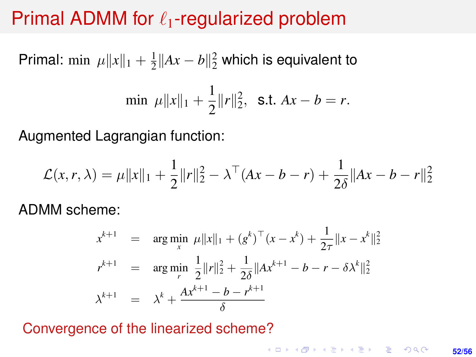## Primal ADMM for  $\ell_1$ -regularized problem

Primal: min  $\mu ||x||_1 + \frac{1}{2}$  $\frac{1}{2}$ ||A $x - b$ || $\frac{2}{2}$  which is equivalent to

$$
\min \ \mu \|x\|_1 + \frac{1}{2} \|r\|_2^2, \ \text{ s.t. } Ax - b = r.
$$

Augmented Lagrangian function:

$$
\mathcal{L}(x, r, \lambda) = \mu ||x||_1 + \frac{1}{2} ||r||_2^2 - \lambda^\top (Ax - b - r) + \frac{1}{2\delta} ||Ax - b - r||_2^2
$$

ADMM scheme:

$$
x^{k+1} = \arg\min_{x} \mu ||x||_1 + (g^k)^\top (x - x^k) + \frac{1}{2\tau} ||x - x^k||_2^2
$$
  

$$
r^{k+1} = \arg\min_{r} \frac{1}{2} ||r||_2^2 + \frac{1}{2\delta} ||Ax^{k+1} - b - r - \delta \lambda^k||_2^2
$$
  

$$
\lambda^{k+1} = \lambda^k + \frac{Ax^{k+1} - b - r^{k+1}}{\delta}
$$

#### Convergence of the linearized scheme?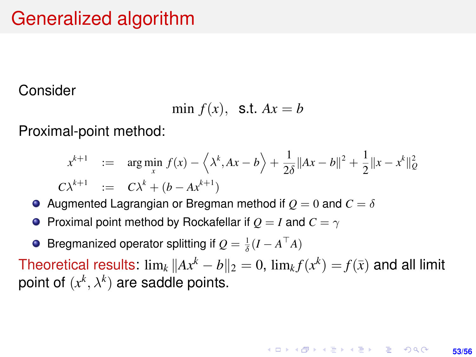# Generalized algorithm

Consider

$$
\min f(x), \ \text{ s.t. } Ax = b
$$

Proximal-point method:

$$
x^{k+1} := \arg\min_{x} f(x) - \left\langle \lambda^k, Ax - b \right\rangle + \frac{1}{2\delta} ||Ax - b||^2 + \frac{1}{2} ||x - x^k||_Q^2
$$
  

$$
C\lambda^{k+1} := C\lambda^k + (b - Ax^{k+1})
$$

- Augmented Lagrangian or Bregman method if  $Q = 0$  and  $C = \delta$
- **Proximal point method by Rockafellar if**  $Q = I$  **and**  $C = \gamma$
- Bregmanized operator splitting if  $Q = \frac{1}{\delta}(I A^{\top}A)$

Theoretical results:  $\lim_k \|Ax^k - b\|_2 = 0$ ,  $\lim_k f(x^k) = f(\bar{x})$  and all limit point of  $(x^k, \lambda^k)$  are saddle points.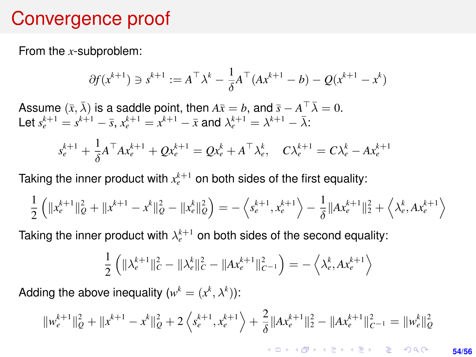## Convergence proof

From the *x*-subproblem:

$$
\partial f(x^{k+1}) \ni s^{k+1} := A^{\top} \lambda^k - \frac{1}{\delta} A^{\top} (Ax^{k+1} - b) - Q(x^{k+1} - x^k)
$$

Assume  $(\bar{x}, \bar{\lambda})$  is a saddle point, then  $A\bar{x} = b$ , and  $\bar{s} - A^{\top} \bar{\lambda} = 0$ . Let  $s_e^{k+1} = s^{k+1} - \bar{s}$ ,  $x_e^{k+1} = x^{k+1} - \bar{x}$  and  $\lambda_e^{k+1} = \lambda^{k+1} - \bar{\lambda}$ :

$$
s_e^{k+1} + \frac{1}{\delta} A^{\top} A x_e^{k+1} + Q x_e^{k+1} = Q x_e^k + A^{\top} \lambda_e^k, \quad C \lambda_e^{k+1} = C \lambda_e^k - A x_e^{k+1}
$$

Taking the inner product with  $x_e^{k+1}$  on both sides of the first equality:

$$
\frac{1}{2}\left(\|x_e^{k+1}\|_Q^2 + \|x^{k+1} - x^k\|_Q^2 - \|x_e^k\|_Q^2\right) = -\left\langle s_e^{k+1}, x_e^{k+1} \right\rangle - \frac{1}{\delta} \|Ax_e^{k+1}\|_2^2 + \left\langle \lambda_e^k, Ax_e^{k+1} \right\rangle
$$

Taking the inner product with  $\lambda_e^{k+1}$  on both sides of the second equality:

$$
\frac{1}{2} \left( \|\lambda_e^{k+1}\|_C^2 - \|\lambda_e^{k}\|_C^2 - \|Ax_e^{k+1}\|_{C^{-1}}^2 \right) = - \left\langle \lambda_e^k, Ax_e^{k+1} \right\rangle
$$

Adding the above inequality  $(w^k = (x^k, \lambda^k))$ :

$$
\|w_e^{k+1}\|_Q^2 + \|x^{k+1} - x^k\|_Q^2 + 2\left\langle s_e^{k+1}, x_e^{k+1} \right\rangle + \frac{2}{\delta} \|Ax_e^{k+1}\|_2^2 - \|Ax_e^{k+1}\|_{C^{-1}}^2 = \|w_e^k\|_Q^2
$$

**KORKAR KERKER E VOLCH 54/56**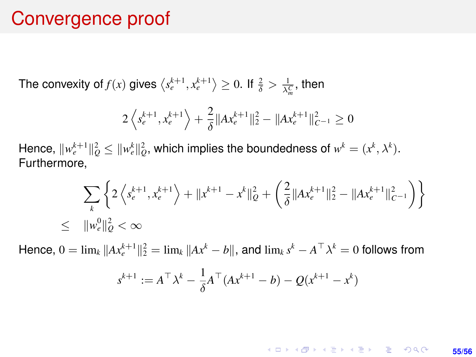#### Convergence proof

The convexity of  $f(x)$  gives  $\left\langle s_e^{k+1}, x_e^{k+1} \right\rangle \geq 0$ . If  $\frac{2}{\delta} > \frac{1}{\lambda_m^C}$ , then

$$
2\left\langle s_e^{k+1}, x_e^{k+1} \right\rangle + \frac{2}{\delta} \|Ax_e^{k+1}\|_2^2 - \|Ax_e^{k+1}\|_{C^{-1}}^2 \ge 0
$$

Hence,  $\|w^{k+1}_e\|_{\mathcal{Q}}^2 \leq \|w^k_e\|_{\mathcal{Q}}^2$ , which implies the boundedness of  $w^k = (x^k, \lambda^k).$ Furthermore,

$$
\sum_{k} \left\{ 2 \left\langle s_e^{k+1}, x_e^{k+1} \right\rangle + \|x^{k+1} - x^k\|_Q^2 + \left( \frac{2}{\delta} \|Ax_e^{k+1}\|_2^2 - \|Ax_e^{k+1}\|_{C^{-1}}^2 \right) \right\}
$$
  

$$
\leq \|w_e^0\|_Q^2 < \infty
$$

Hence,  $0 = \lim_k ||Ax^{k+1}_e||_2^2 = \lim_k ||Ax^k - b||$ , and  $\lim_k s^k - A^\top \lambda^k = 0$  follows from

$$
s^{k+1} := A^{\top} \lambda^k - \frac{1}{\delta} A^{\top} (A x^{k+1} - b) - Q(x^{k+1} - x^k)
$$

KO KKØKKEKKEK E KORO **55/56**